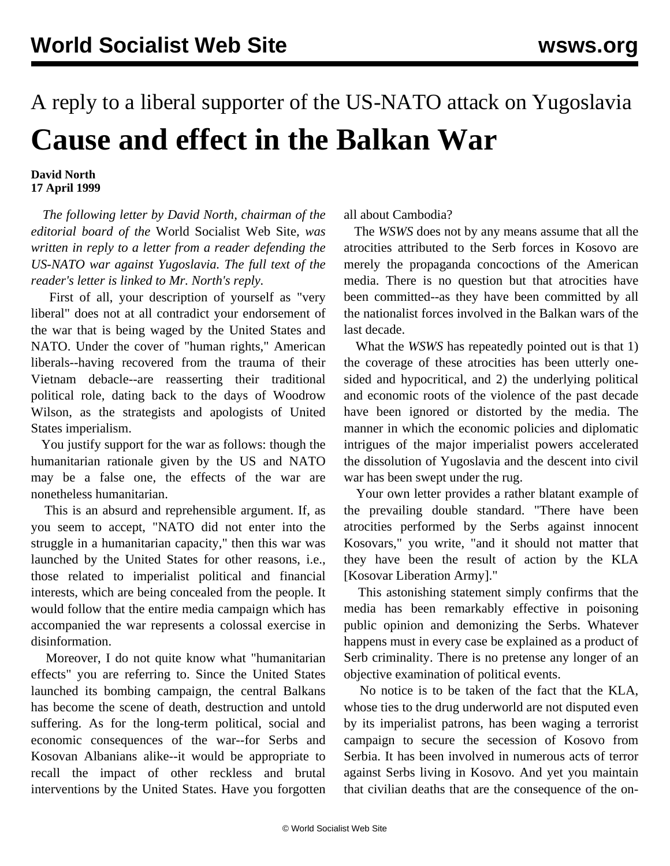## A reply to a liberal supporter of the US-NATO attack on Yugoslavia **Cause and effect in the Balkan War**

## **David North 17 April 1999**

 *The following letter by David North, chairman of the editorial board of the* World Socialist Web Site*, was written in reply to a letter from a reader defending the US-NATO war against Yugoslavia. The full text of the reader's letter is linked to Mr. North's reply.*

 First of all, your description of yourself as "very liberal" does not at all contradict your endorsement of the war that is being waged by the United States and NATO. Under the cover of "human rights," American liberals--having recovered from the trauma of their Vietnam debacle--are reasserting their traditional political role, dating back to the days of Woodrow Wilson, as the strategists and apologists of United States imperialism.

 You justify support for the war as follows: though the humanitarian rationale given by the US and NATO may be a false one, the effects of the war are nonetheless humanitarian.

 This is an absurd and reprehensible argument. If, as you seem to accept, "NATO did not enter into the struggle in a humanitarian capacity," then this war was launched by the United States for other reasons, i.e., those related to imperialist political and financial interests, which are being concealed from the people. It would follow that the entire media campaign which has accompanied the war represents a colossal exercise in disinformation.

 Moreover, I do not quite know what "humanitarian effects" you are referring to. Since the United States launched its bombing campaign, the central Balkans has become the scene of death, destruction and untold suffering. As for the long-term political, social and economic consequences of the war--for Serbs and Kosovan Albanians alike--it would be appropriate to recall the impact of other reckless and brutal interventions by the United States. Have you forgotten all about Cambodia?

 The *WSWS* does not by any means assume that all the atrocities attributed to the Serb forces in Kosovo are merely the propaganda concoctions of the American media. There is no question but that atrocities have been committed--as they have been committed by all the nationalist forces involved in the Balkan wars of the last decade.

 What the *WSWS* has repeatedly pointed out is that 1) the coverage of these atrocities has been utterly onesided and hypocritical, and 2) the underlying political and economic roots of the violence of the past decade have been ignored or distorted by the media. The manner in which the economic policies and diplomatic intrigues of the major imperialist powers accelerated the dissolution of Yugoslavia and the descent into civil war has been swept under the rug.

 Your own letter provides a rather blatant example of the prevailing double standard. "There have been atrocities performed by the Serbs against innocent Kosovars," you write, "and it should not matter that they have been the result of action by the KLA [Kosovar Liberation Army]."

 This astonishing statement simply confirms that the media has been remarkably effective in poisoning public opinion and demonizing the Serbs. Whatever happens must in every case be explained as a product of Serb criminality. There is no pretense any longer of an objective examination of political events.

 No notice is to be taken of the fact that the KLA, whose ties to the drug underworld are not disputed even by its imperialist patrons, has been waging a terrorist campaign to secure the secession of Kosovo from Serbia. It has been involved in numerous acts of terror against Serbs living in Kosovo. And yet you maintain that civilian deaths that are the consequence of the on-